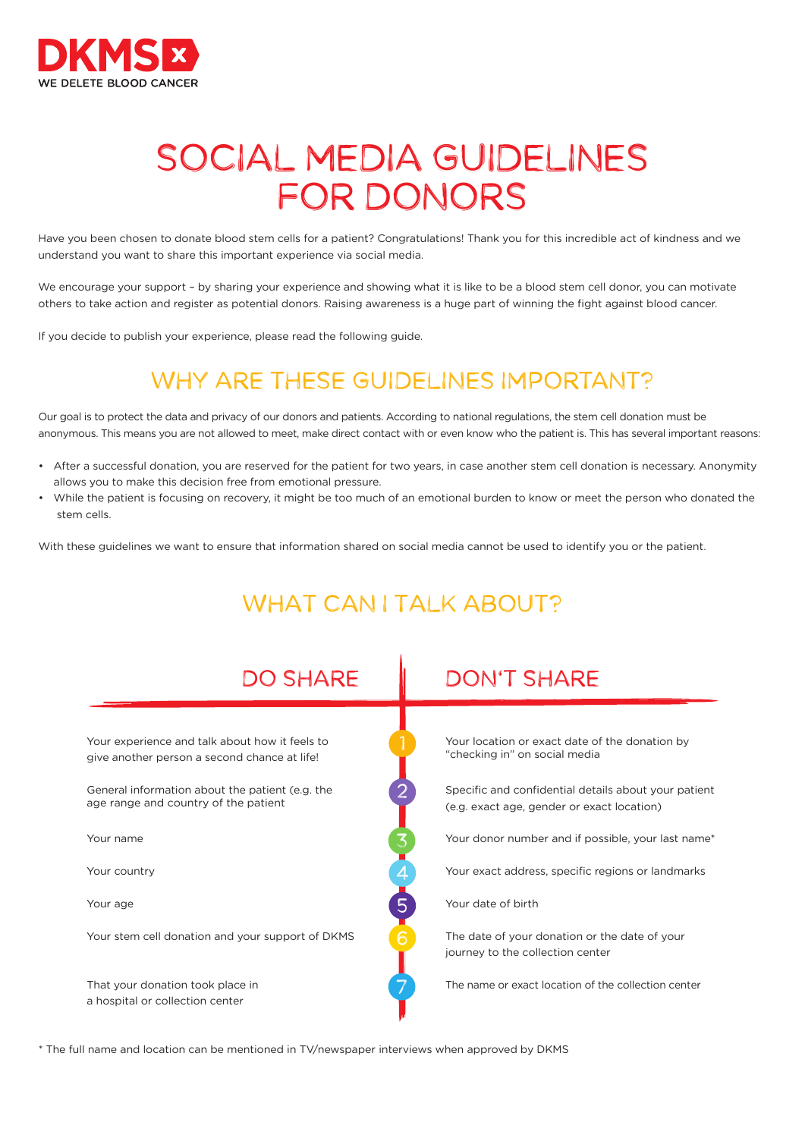

# SOCIAL MEDIA GUIDELINES FOR DONORS

Have you been chosen to donate blood stem cells for a patient? Congratulations! Thank you for this incredible act of kindness and we understand you want to share this important experience via social media.

We encourage your support – by sharing your experience and showing what it is like to be a blood stem cell donor, you can motivate others to take action and register as potential donors. Raising awareness is a huge part of winning the fight against blood cancer.

If you decide to publish your experience, please read the following guide.

## WHY ARE THESE GUIDELINES IMPORTANT?

Our goal is to protect the data and privacy of our donors and patients. According to national regulations, the stem cell donation must be anonymous. This means you are not allowed to meet, make direct contact with or even know who the patient is. This has several important reasons:

- After a successful donation, you are reserved for the patient for two years, in case another stem cell donation is necessary. Anonymity allows you to make this decision free from emotional pressure.
- While the patient is focusing on recovery, it might be too much of an emotional burden to know or meet the person who donated the stem cells.

With these guidelines we want to ensure that information shared on social media cannot be used to identify you or the patient.



\* The full name and location can be mentioned in TV/newspaper interviews when approved by DKMS